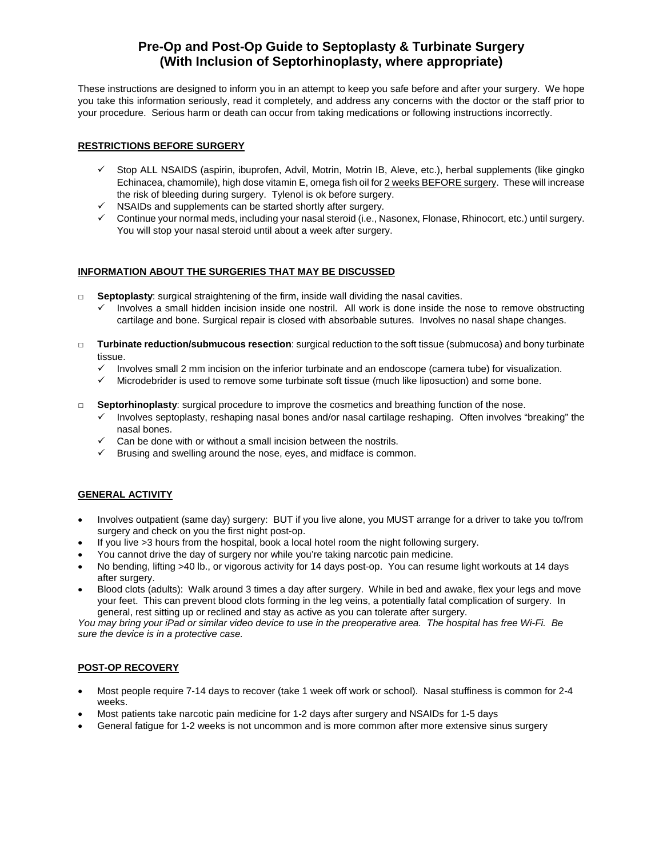# **Pre-Op and Post-Op Guide to Septoplasty & Turbinate Surgery (With Inclusion of Septorhinoplasty, where appropriate)**

These instructions are designed to inform you in an attempt to keep you safe before and after your surgery. We hope you take this information seriously, read it completely, and address any concerns with the doctor or the staff prior to your procedure. Serious harm or death can occur from taking medications or following instructions incorrectly.

# **RESTRICTIONS BEFORE SURGERY**

- $\checkmark$  Stop ALL NSAIDS (aspirin, ibuprofen, Advil, Motrin, Motrin IB, Aleve, etc.), herbal supplements (like gingko Echinacea, chamomile), high dose vitamin E, omega fish oil for 2 weeks BEFORE surgery. These will increase the risk of bleeding during surgery. Tylenol is ok before surgery.
- $\checkmark$  NSAIDs and supplements can be started shortly after surgery.
- $\checkmark$  Continue your normal meds, including your nasal steroid (i.e., Nasonex, Flonase, Rhinocort, etc.) until surgery. You will stop your nasal steroid until about a week after surgery.

#### **INFORMATION ABOUT THE SURGERIES THAT MAY BE DISCUSSED**

- □ **Septoplasty**: surgical straightening of the firm, inside wall dividing the nasal cavities.
	- Involves a small hidden incision inside one nostril. All work is done inside the nose to remove obstructing cartilage and bone. Surgical repair is closed with absorbable sutures. Involves no nasal shape changes.
- □ **Turbinate reduction/submucous resection**: surgical reduction to the soft tissue (submucosa) and bony turbinate tissue.
	- $\checkmark$  Involves small 2 mm incision on the inferior turbinate and an endoscope (camera tube) for visualization.
	- $\checkmark$  Microdebrider is used to remove some turbinate soft tissue (much like liposuction) and some bone.
- □ **Septorhinoplasty**: surgical procedure to improve the cosmetics and breathing function of the nose.
	- $\checkmark$  Involves septoplasty, reshaping nasal bones and/or nasal cartilage reshaping. Often involves "breaking" the nasal bones.
	- $\checkmark$  Can be done with or without a small incision between the nostrils.
	- $\checkmark$  Brusing and swelling around the nose, eyes, and midface is common.

# **GENERAL ACTIVITY**

- Involves outpatient (same day) surgery: BUT if you live alone, you MUST arrange for a driver to take you to/from surgery and check on you the first night post-op.
- If you live >3 hours from the hospital, book a local hotel room the night following surgery.
- You cannot drive the day of surgery nor while you're taking narcotic pain medicine.
- No bending, lifting >40 lb., or vigorous activity for 14 days post-op. You can resume light workouts at 14 days after surgery.
- Blood clots (adults): Walk around 3 times a day after surgery. While in bed and awake, flex your legs and move your feet. This can prevent blood clots forming in the leg veins, a potentially fatal complication of surgery. In general, rest sitting up or reclined and stay as active as you can tolerate after surgery.

*You may bring your iPad or similar video device to use in the preoperative area. The hospital has free Wi-Fi. Be sure the device is in a protective case.*

#### **POST-OP RECOVERY**

- Most people require 7-14 days to recover (take 1 week off work or school). Nasal stuffiness is common for 2-4 weeks.
- Most patients take narcotic pain medicine for 1-2 days after surgery and NSAIDs for 1-5 days
- General fatigue for 1-2 weeks is not uncommon and is more common after more extensive sinus surgery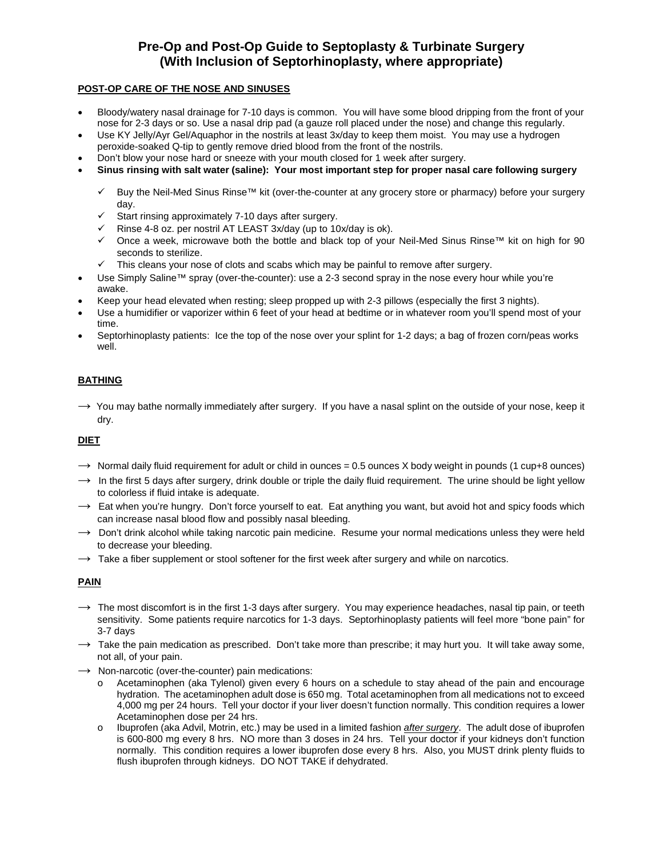# **Pre-Op and Post-Op Guide to Septoplasty & Turbinate Surgery (With Inclusion of Septorhinoplasty, where appropriate)**

# **POST-OP CARE OF THE NOSE AND SINUSES**

- Bloody/watery nasal drainage for 7-10 days is common. You will have some blood dripping from the front of your nose for 2-3 days or so. Use a nasal drip pad (a gauze roll placed under the nose) and change this regularly.
- Use KY Jelly/Ayr Gel/Aquaphor in the nostrils at least 3x/day to keep them moist. You may use a hydrogen peroxide-soaked Q-tip to gently remove dried blood from the front of the nostrils.
- Don't blow your nose hard or sneeze with your mouth closed for 1 week after surgery.
- **Sinus rinsing with salt water (saline): Your most important step for proper nasal care following surgery**
	- Buy the Neil-Med Sinus Rinse™ kit (over-the-counter at any grocery store or pharmacy) before your surgery day.
	- $\checkmark$  Start rinsing approximately 7-10 days after surgery.
	- $\checkmark$  Rinse 4-8 oz. per nostril AT LEAST 3x/day (up to 10x/day is ok).
	- Once a week, microwave both the bottle and black top of your Neil-Med Sinus Rinse™ kit on high for 90 seconds to sterilize.
	- $\checkmark$  This cleans your nose of clots and scabs which may be painful to remove after surgery.
- Use Simply Saline™ spray (over-the-counter): use a 2-3 second spray in the nose every hour while you're awake.
- Keep your head elevated when resting; sleep propped up with 2-3 pillows (especially the first 3 nights).
- Use a humidifier or vaporizer within 6 feet of your head at bedtime or in whatever room you'll spend most of your time.
- Septorhinoplasty patients: Ice the top of the nose over your splint for 1-2 days; a bag of frozen corn/peas works well.

# **BATHING**

→ You mav bathe normally immediately after surgery. If you have a nasal splint on the outside of your nose, keep it dry.

# **DIET**

- $\rightarrow$  Normal daily fluid requirement for adult or child in ounces = 0.5 ounces X body weight in pounds (1 cup+8 ounces)
- $\rightarrow$  In the first 5 days after surgery, drink double or triple the daily fluid requirement. The urine should be light yellow to colorless if fluid intake is adequate.
- $\rightarrow$  Eat when you're hungry. Don't force yourself to eat. Eat anything you want, but avoid hot and spicy foods which can increase nasal blood flow and possibly nasal bleeding.
- $\rightarrow$  Don't drink alcohol while taking narcotic pain medicine. Resume your normal medications unless they were held to decrease your bleeding.
- $\rightarrow$  Take a fiber supplement or stool softener for the first week after surgery and while on narcotics.

# **PAIN**

- $\rightarrow$  The most discomfort is in the first 1-3 days after surgery. You may experience headaches, nasal tip pain, or teeth sensitivity. Some patients require narcotics for 1-3 days. Septorhinoplasty patients will feel more "bone pain" for 3-7 days
- $\rightarrow$  Take the pain medication as prescribed. Don't take more than prescribe; it may hurt you. It will take away some, not all, of your pain.
- $\rightarrow$  Non-narcotic (over-the-counter) pain medications:
	- o Acetaminophen (aka Tylenol) given every 6 hours on a schedule to stay ahead of the pain and encourage hydration. The acetaminophen adult dose is 650 mg. Total acetaminophen from all medications not to exceed 4,000 mg per 24 hours. Tell your doctor if your liver doesn't function normally. This condition requires a lower Acetaminophen dose per 24 hrs.
	- o Ibuprofen (aka Advil, Motrin, etc.) may be used in a limited fashion *after surgery*. The adult dose of ibuprofen is 600-800 mg every 8 hrs. NO more than 3 doses in 24 hrs. Tell your doctor if your kidneys don't function normally. This condition requires a lower ibuprofen dose every 8 hrs. Also, you MUST drink plenty fluids to flush ibuprofen through kidneys. DO NOT TAKE if dehydrated.